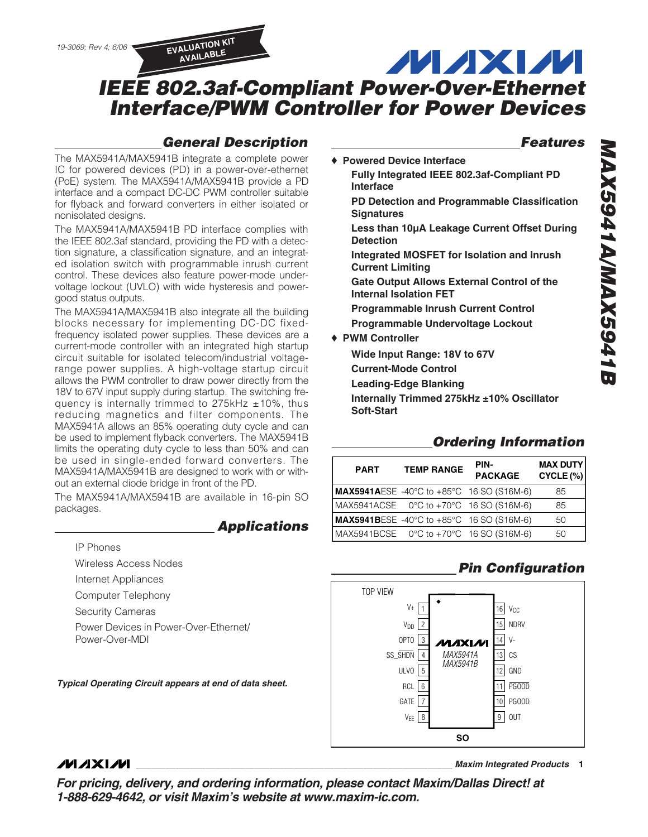## *General Description*

The MAX5941A/MAX5941B integrate a complete power IC for powered devices (PD) in a power-over-ethernet (PoE) system. The MAX5941A/MAX5941B provide a PD interface and a compact DC-DC PWM controller suitable for flyback and forward converters in either isolated or nonisolated designs.

**EVALUATION KIT AVAILABLE**

The MAX5941A/MAX5941B PD interface complies with the IEEE 802.3af standard, providing the PD with a detection signature, a classification signature, and an integrated isolation switch with programmable inrush current control. These devices also feature power-mode undervoltage lockout (UVLO) with wide hysteresis and powergood status outputs.

The MAX5941A/MAX5941B also integrate all the building blocks necessary for implementing DC-DC fixedfrequency isolated power supplies. These devices are a current-mode controller with an integrated high startup circuit suitable for isolated telecom/industrial voltagerange power supplies. A high-voltage startup circuit allows the PWM controller to draw power directly from the 18V to 67V input supply during startup. The switching frequency is internally trimmed to  $275kHz \pm 10\%$ , thus reducing magnetics and filter components. The MAX5941A allows an 85% operating duty cycle and can be used to implement flyback converters. The MAX5941B limits the operating duty cycle to less than 50% and can be used in single-ended forward converters. The MAX5941A/MAX5941B are designed to work with or without an external diode bridge in front of the PD.

The MAX5941A/MAX5941B are available in 16-pin SO packages.

## *Applications*

IP Phones

Wireless Access Nodes

Internet Appliances

Computer Telephony

Security Cameras

Power Devices in Power-Over-Ethernet/ Power-Over-MDI

*Typical Operating Circuit appears at end of data sheet.*

### *Features*

- ♦ **Powered Device Interface**
	- **Fully Integrated IEEE 802.3af-Compliant PD Interface**

**PD Detection and Programmable Classification Signatures**

**Less than 10µA Leakage Current Offset During Detection**

**Integrated MOSFET for Isolation and Inrush Current Limiting**

**Gate Output Allows External Control of the Internal Isolation FET**

**Programmable Inrush Current Control**

**Programmable Undervoltage Lockout**

♦ **PWM Controller**

**Wide Input Range: 18V to 67V**

**Current-Mode Control**

**Leading-Edge Blanking**

**Internally Trimmed 275kHz ±10% Oscillator Soft-Start**

## *Ordering Information*

| <b>PART</b> | <b>TEMP RANGE</b> | PIN-<br><b>PACKAGE</b>                           | <b>MAX DUTY</b><br>CYCLE (%) |
|-------------|-------------------|--------------------------------------------------|------------------------------|
|             |                   | <b>MAX5941AESE</b> -40°C to +85°C 16 SO (S16M-6) | 85                           |
|             |                   |                                                  | 85                           |
|             |                   | <b>MAX5941BESE</b> -40°C to +85°C 16 SO (S16M-6) | 50                           |
|             |                   | MAX5941BCSE  0°C to +70°C  16 SO (S16M-6)        | 50                           |

## *Pin Configuration*



## **MAXIM**

**\_\_\_\_\_\_\_\_\_\_\_\_\_\_\_\_\_\_\_\_\_\_\_\_\_\_\_\_\_\_\_\_\_\_\_\_\_\_\_\_\_\_\_\_\_\_\_\_\_\_\_\_\_\_\_\_\_\_\_\_\_\_\_\_** *Maxim Integrated Products* **1**

*For pricing, delivery, and ordering information, please contact Maxim/Dallas Direct! at 1-888-629-4642, or visit Maxim's website at www.maxim-ic.com.*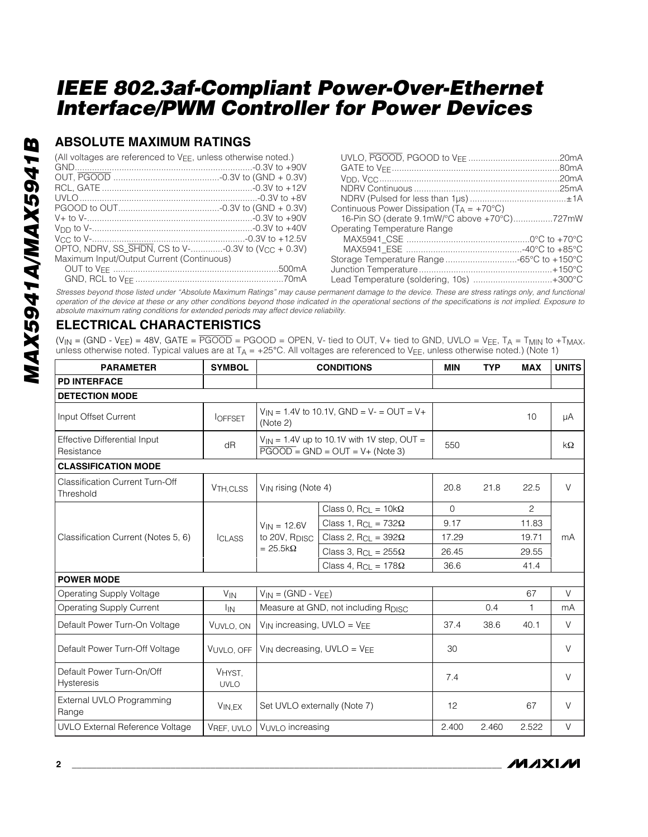## **ABSOLUTE MAXIMUM RATINGS**

(All voltages are referenced to V<sub>EE</sub>, unless otherwise noted.)

| OPTO, NDRV, SS_SHDN, CS to V--0.3V to (V <sub>CC</sub> + 0.3V) |  |
|----------------------------------------------------------------|--|
| Maximum Input/Output Current (Continuous)                      |  |
|                                                                |  |
|                                                                |  |

| Continuous Power Dissipation $(T_A = +70^{\circ}C)$ |  |
|-----------------------------------------------------|--|
| 16-Pin SO (derate 9.1mW/°C above +70°C)727mW        |  |
| Operating Temperature Range                         |  |
|                                                     |  |
|                                                     |  |
| Storage Temperature Range -65°C to +150°C           |  |
|                                                     |  |
| Lead Temperature (soldering, 10s) +300°C            |  |

*Stresses beyond those listed under "Absolute Maximum Ratings" may cause permanent damage to the device. These are stress ratings only, and functional operation of the device at these or any other conditions beyond those indicated in the operational sections of the specifications is not implied. Exposure to absolute maximum rating conditions for extended periods may affect device reliability.*

## **ELECTRICAL CHARACTERISTICS**

 $(V_{\text{IN}} = (\text{GND - V_{EE}}) = 48V$ , GATE =  $\overline{\text{PGOOD}} = \text{PGOOD} = \text{OPEN}$ , V- tied to OUT, V+ tied to GND, UVLO = V<sub>EE</sub>, T<sub>A</sub> = T<sub>MIN</sub> to +T<sub>MAX</sub>, unless otherwise noted. Typical values are at  $T_A = +25^{\circ}$ C. All voltages are referenced to V<sub>EE</sub>, unless otherwise noted.) (Note 1)

| <b>PARAMETER</b>                                    | <b>SYMBOL</b>         | <b>CONDITIONS</b>                                                |                                                                                       | <b>MIN</b>  | <b>TYP</b> | <b>MAX</b>   | <b>UNITS</b> |
|-----------------------------------------------------|-----------------------|------------------------------------------------------------------|---------------------------------------------------------------------------------------|-------------|------------|--------------|--------------|
| <b>PD INTERFACE</b>                                 |                       |                                                                  |                                                                                       |             |            |              |              |
| <b>DETECTION MODE</b>                               |                       |                                                                  |                                                                                       |             |            |              |              |
| Input Offset Current                                | <b>IOFFSET</b>        | (Note 2)                                                         | $V_{IN}$ = 1.4V to 10.1V, GND = V- = OUT = V+                                         |             |            | 10           | μA           |
| <b>Effective Differential Input</b><br>Resistance   | dR                    |                                                                  | $V_{IN}$ = 1.4V up to 10.1V with 1V step, OUT =<br>$PGOOD = GND = OUT = V + (Note 3)$ | 550         |            |              | kΩ           |
| <b>CLASSIFICATION MODE</b>                          |                       |                                                                  |                                                                                       |             |            |              |              |
| <b>Classification Current Turn-Off</b><br>Threshold | V <sub>TH.CLSS</sub>  | V <sub>IN</sub> rising (Note 4)                                  |                                                                                       | 20.8        | 21.8       | 22.5         | $\vee$       |
| Classification Current (Notes 5, 6)                 | <b>CLASS</b>          | $V_{IN} = 12.6V$<br>to 20V, R <sub>DISC</sub><br>$= 25.5k\Omega$ | Class 0, $R_{Cl} = 10k\Omega$                                                         | $\mathbf 0$ |            | 2            | mA           |
|                                                     |                       |                                                                  | Class 1, $RCL = 732\Omega$                                                            | 9.17        |            | 11.83        |              |
|                                                     |                       |                                                                  | Class 2, $R_{CL}$ = 392 $\Omega$                                                      | 17.29       |            | 19.71        |              |
|                                                     |                       |                                                                  | Class 3, R <sub>CL</sub> = $255\Omega$                                                | 26.45       |            | 29.55        |              |
|                                                     |                       |                                                                  | Class 4, $RCL = 178\Omega$                                                            | 36.6        |            | 41.4         |              |
| <b>POWER MODE</b>                                   |                       |                                                                  |                                                                                       |             |            |              |              |
| Operating Supply Voltage                            | <b>V<sub>IN</sub></b> | $V_{IN} = (GND - V_{FF})$                                        |                                                                                       |             |            | 67           | $\vee$       |
| <b>Operating Supply Current</b>                     | <b>I</b> IN           |                                                                  | Measure at GND, not including R <sub>DISC</sub>                                       |             | 0.4        | $\mathbf{1}$ | mA           |
| Default Power Turn-On Voltage                       | VUVLO, ON             | $V_{IN}$ increasing, UVLO = $V_{EE}$                             |                                                                                       | 37.4        | 38.6       | 40.1         | $\vee$       |
| Default Power Turn-Off Voltage                      | VUVLO, OFF            | $V_{IN}$ decreasing, UVLO = $V_{EE}$                             |                                                                                       | 30          |            |              | V            |
| Default Power Turn-On/Off<br><b>Hysteresis</b>      | VHYST,<br><b>UVLO</b> |                                                                  |                                                                                       | 7.4         |            |              | $\vee$       |
| External UVLO Programming<br>Range                  | VIN.EX                | Set UVLO externally (Note 7)                                     |                                                                                       | 12          |            | 67           | $\vee$       |
| UVLO External Reference Voltage                     | VREF, UVLO            | VUVLO increasing                                                 |                                                                                       | 2.400       | 2.460      | 2.522        | $\vee$       |

**MAXIM**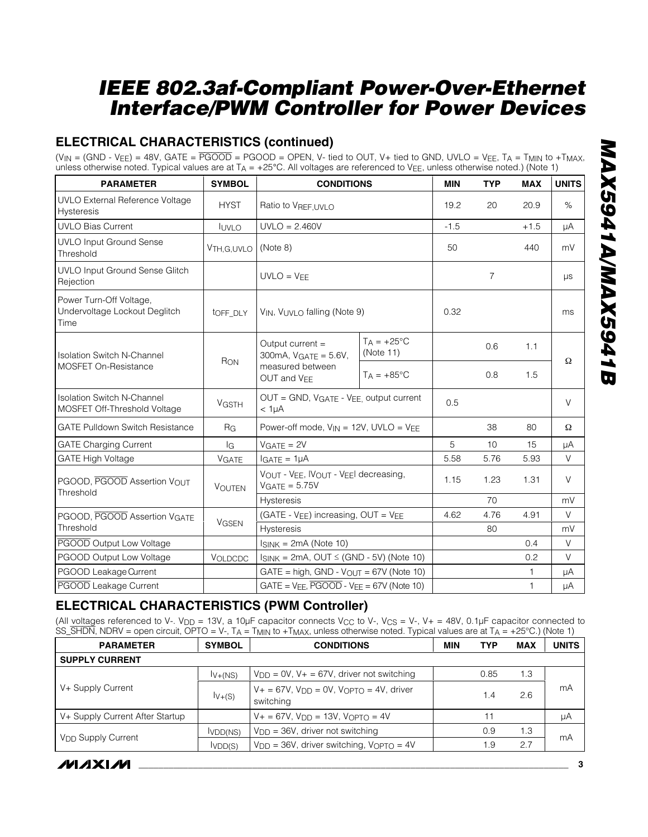## **ELECTRICAL CHARACTERISTICS (continued)**

 $(V_{IN} = (GND - V_{EE}) = 48V$ , GATE =  $\overline{PGOOD} = PGOOD = OPEN$ , V- tied to OUT, V+ tied to GND, UVLO = VEE, TA = T<sub>MIN</sub> to +T<sub>MAX</sub>, unless otherwise noted. Typical values are at  $T_A = +25^{\circ}C$ . All voltages are referenced to V<sub>FF</sub>, unless otherwise noted.) (Note 1)

| <b>PARAMETER</b>                                                  | <b>SYMBOL</b>             | <b>CONDITIONS</b>                                                                              |                                  | <b>MIN</b> | <b>TYP</b>     | <b>MAX</b>   | <b>UNITS</b> |
|-------------------------------------------------------------------|---------------------------|------------------------------------------------------------------------------------------------|----------------------------------|------------|----------------|--------------|--------------|
| UVLO External Reference Voltage<br><b>Hysteresis</b>              | <b>HYST</b>               | Ratio to VREF, UVLO                                                                            |                                  | 19.2       | 20             | 20.9         | $\%$         |
| <b>UVLO Bias Current</b>                                          | <b>IUVLO</b>              | $UVLO = 2.460V$                                                                                |                                  | $-1.5$     |                | $+1.5$       | μA           |
| <b>UVLO Input Ground Sense</b><br>Threshold                       | V <sub>TH</sub> , G, UVLO | (Note 8)                                                                                       |                                  | 50         |                | 440          | mV           |
| UVLO Input Ground Sense Glitch<br>Rejection                       |                           | $UVLO = VEE$                                                                                   |                                  |            | $\overline{7}$ |              | μs           |
| Power Turn-Off Voltage,<br>Undervoltage Lockout Deglitch<br>Time  | toff DLY                  | V <sub>IN</sub> , V <sub>UVLO</sub> falling (Note 9)                                           |                                  | 0.32       |                |              | ms           |
| <b>Isolation Switch N-Channel</b>                                 |                           | Output current =<br>300 $mA$ , $VGATE = 5.6V$ ,<br>measured between<br>OUT and V <sub>EE</sub> | $TA = +25^{\circ}C$<br>(Note 11) |            | 0.6            | 1.1          | Ω            |
| MOSFET On-Resistance                                              | RON                       |                                                                                                | $T_A = +85^{\circ}C$             |            | 0.8            | 1.5          |              |
| <b>Isolation Switch N-Channel</b><br>MOSFET Off-Threshold Voltage | <b>VGSTH</b>              | OUT = GND, VGATE - VEE, output current<br>$<$ 1 $\mu$ A                                        |                                  | 0.5        |                |              | $\vee$       |
| <b>GATE Pulldown Switch Resistance</b>                            | RG                        | Power-off mode, $V_{IN} = 12V$ , UVLO = $V_{EE}$                                               |                                  |            | 38             | 80           | Ω            |
| <b>GATE Charging Current</b>                                      | l <sub>G</sub>            | $VGATE = 2V$                                                                                   |                                  | 5          | 10             | 15           | μA           |
| <b>GATE High Voltage</b>                                          | <b>VGATE</b>              | $IGATE = 1µA$                                                                                  |                                  | 5.58       | 5.76           | 5.93         | $\vee$       |
| PGOOD, PGOOD Assertion VOUT<br>Threshold                          | <b>VOUTEN</b>             | VOUT - VEE, IVOUT - VEEI decreasing,<br>$VGATE = 5.75V$                                        |                                  | 1.15       | 1.23           | 1.31         | $\vee$       |
|                                                                   |                           | <b>Hysteresis</b>                                                                              |                                  |            | 70             |              | mV           |
| PGOOD, PGOOD Assertion VGATE                                      | <b>VGSEN</b>              | (GATE - VEE) increasing, OUT = VEE                                                             |                                  | 4.62       | 4.76           | 4.91         | $\vee$       |
| Threshold                                                         |                           | Hysteresis                                                                                     |                                  |            | 80             |              | mV           |
| PGOOD Output Low Voltage                                          |                           | $I_{SINK} = 2mA (Note 10)$                                                                     |                                  |            |                | 0.4          | $\vee$       |
| PGOOD Output Low Voltage                                          | VOLDCDC                   | $I_{SINK}$ = 2mA, OUT $\leq$ (GND - 5V) (Note 10)                                              |                                  |            |                | 0.2          | $\vee$       |
| PGOOD Leakage Current                                             |                           | GATE = high, GND - $V_{OUT}$ = 67V (Note 10)                                                   |                                  |            |                | $\mathbf 1$  | μA           |
| PGOOD Leakage Current                                             |                           | GATE = $V_{EE}$ , $\overline{PGOOD}$ - $V_{EE}$ = 67V (Note 10)                                |                                  |            |                | $\mathbf{1}$ | μA           |

## **ELECTRICAL CHARACTERISTICS (PWM Controller)**

(All voltages referenced to V-. V<sub>DD</sub> = 13V, a 10µF capacitor connects V<sub>CC</sub> to V-, V<sub>CS</sub> = V-, V+ = 48V, 0.1µF capacitor connected to SS\_SHDN, NDRV = open circuit, OPTO = V-,  $T_A = T_{MIN}$  to +T<sub>MAX</sub>, unless otherwise noted. Typical values are at  $T_A = +25^{\circ}$ C.) (Note 1)

| <b>PARAMETER</b>                | <b>SYMBOL</b> | <b>CONDITIONS</b>                                                   |  |           | <b>MAX</b> | <b>UNITS</b> |  |
|---------------------------------|---------------|---------------------------------------------------------------------|--|-----------|------------|--------------|--|
| <b>SUPPLY CURRENT</b>           |               |                                                                     |  |           |            |              |  |
|                                 | $IV+(NS)$     | $V_{DD} = 0V$ , $V_+ = 67V$ , driver not switching                  |  | 0.85      | 1.3        |              |  |
| V+ Supply Current               | $IV+(S)$      | $V_+ = 67V$ , $V_{DD} = 0V$ , $V_{OPTO} = 4V$ , driver<br>switching |  | $\cdot$ 4 | 2.6        | mA           |  |
| V+ Supply Current After Startup |               | $V_+ = 67V$ , $V_{DD} = 13V$ , $V_{OPTO} = 4V$                      |  |           |            | μA           |  |
|                                 | VDD(NS)       | $V_{DD} = 36V$ , driver not switching                               |  | 0.9       | 1.3        | mA           |  |
| V <sub>DD</sub> Supply Current  | IVDD(S)       | $V_{\text{DD}} = 36V$ , driver switching, $V_{\text{OPT}} = 4V$     |  | .9        | 2.7        |              |  |



**MAXM**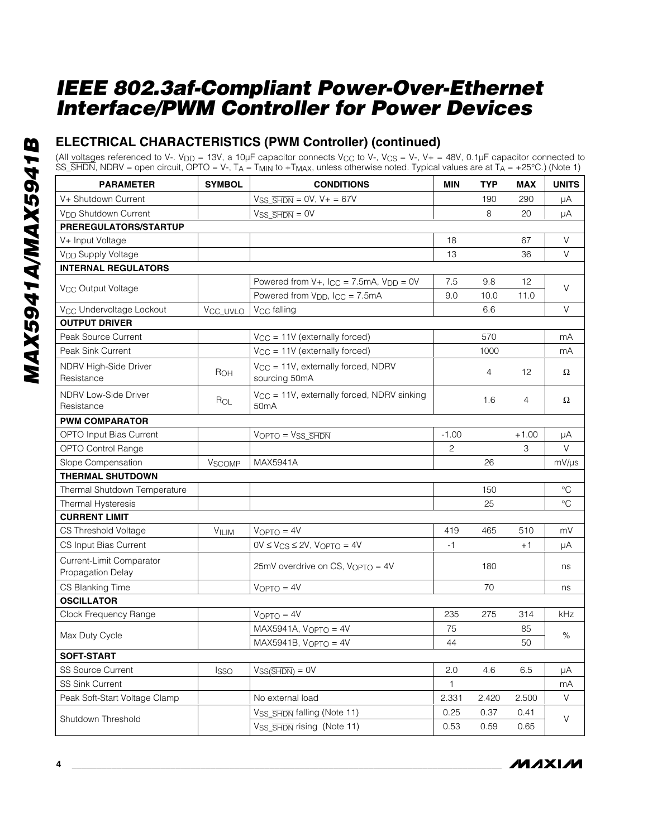## **ELECTRICAL CHARACTERISTICS (PWM Controller) (continued)**

(All voltages referenced to V-. V<sub>DD</sub> = 13V, a 10µF capacitor connects V<sub>CC</sub> to V-, V<sub>CS</sub> = V-, V+ = 48V, 0.1µF capacitor connected to SS\_SHDN, NDRV = open circuit, OPTO = V-, TA = TMIN to +TMAX, unless otherwise noted. Typical values are at TA = +25°C.) (Note 1)

| <b>PARAMETER</b>                              | <b>SYMBOL</b>            | <b>CONDITIONS</b>                                                    | MIN     | <b>TYP</b> | <b>MAX</b> | <b>UNITS</b>    |
|-----------------------------------------------|--------------------------|----------------------------------------------------------------------|---------|------------|------------|-----------------|
| V+ Shutdown Current                           |                          | $VSS_{\overline{\text{SHDN}}} = 0V, V+ = 67V$                        |         | 190        | 290        | μA              |
| V <sub>DD</sub> Shutdown Current              |                          | $VSS$ <sub>SHDN</sub> = $0V$                                         |         | 8          | 20         | μA              |
| PREREGULATORS/STARTUP                         |                          |                                                                      |         |            |            |                 |
| V+ Input Voltage                              |                          |                                                                      | 18      |            | 67         | $\vee$          |
| <b>V<sub>DD</sub></b> Supply Voltage          |                          |                                                                      | 13      |            | 36         | V               |
| <b>INTERNAL REGULATORS</b>                    |                          |                                                                      |         |            |            |                 |
| V <sub>CC</sub> Output Voltage                |                          | Powered from $V_{+}$ , $I_{CC} = 7.5mA$ , $V_{DD} = 0V$              | 7.5     | 9.8        | 12         | $\vee$          |
|                                               |                          | Powered from V <sub>DD</sub> , I <sub>CC</sub> = 7.5mA               | 9.0     | 10.0       | 11.0       |                 |
| V <sub>CC</sub> Undervoltage Lockout          | V <sub>CC_UVLO</sub>     | V <sub>CC</sub> falling                                              |         | 6.6        |            | $\vee$          |
| <b>OUTPUT DRIVER</b>                          |                          |                                                                      |         |            |            |                 |
| Peak Source Current                           |                          | $V_{CC} = 11V$ (externally forced)                                   |         | 570        |            | mA              |
| Peak Sink Current                             |                          | $V_{CC}$ = 11V (externally forced)                                   |         | 1000       |            | mA              |
| NDRV High-Side Driver<br>Resistance           | R <sub>OH</sub>          | V <sub>CC</sub> = 11V, externally forced, NDRV<br>sourcing 50mA      |         | 4          | 12         | Ω               |
| <b>NDRV Low-Side Driver</b><br>Resistance     | ROL                      | $V_{CC}$ = 11V, externally forced, NDRV sinking<br>50 <sub>m</sub> A |         | 1.6        | 4          | Ω               |
| <b>PWM COMPARATOR</b>                         |                          |                                                                      |         |            |            |                 |
| OPTO Input Bias Current                       |                          | $VOPTO = VSS$ SHDN                                                   | $-1.00$ |            | $+1.00$    | μA              |
| <b>OPTO Control Range</b>                     |                          |                                                                      | 2       |            | 3          | V               |
| Slope Compensation                            | <b>V<sub>SCOMP</sub></b> | MAX5941A                                                             |         | 26         |            | $mV/\mu s$      |
| <b>THERMAL SHUTDOWN</b>                       |                          |                                                                      |         |            |            |                 |
| Thermal Shutdown Temperature                  |                          |                                                                      |         | 150        |            | $^{\circ}C$     |
| Thermal Hysteresis                            |                          |                                                                      |         | 25         |            | $\rm ^{\circ}C$ |
| <b>CURRENT LIMIT</b>                          |                          |                                                                      |         |            |            |                 |
| CS Threshold Voltage                          | <b>VILIM</b>             | $VOPTO = 4V$                                                         | 419     | 465        | 510        | mV              |
| CS Input Bias Current                         |                          | $OV \le V_{CS} \le 2V$ , $V_{OPTO} = 4V$                             | $-1$    |            | $+1$       | μA              |
| Current-Limit Comparator<br>Propagation Delay |                          | 25mV overdrive on CS, $V_{\text{OPTO}} = 4V$                         |         | 180        |            | ns              |
| CS Blanking Time                              |                          | $VOPTO = 4V$                                                         |         | 70         |            | ns              |
| <b>OSCILLATOR</b>                             |                          |                                                                      |         |            |            |                 |
| Clock Frequency Range                         |                          | $VOPTO = 4V$                                                         | 235     | 275        | 314        | kHz             |
|                                               |                          | $MAX5941A, VOPTO = 4V$                                               | 75      |            | 85         |                 |
| Max Duty Cycle                                |                          | $MAX5941B, VOPTO = 4V$                                               | 44      |            | 50         | $\%$            |
| SOFT-START                                    |                          |                                                                      |         |            |            |                 |
| <b>SS Source Current</b>                      | <b>Isso</b>              | $VSS(\overline{\text{SHDN}}) = 0V$                                   | 2.0     | 4.6        | 6.5        | μA              |
| SS Sink Current                               |                          |                                                                      | 1       |            |            | mA              |
| Peak Soft-Start Voltage Clamp                 |                          | No external load                                                     | 2.331   | 2.420      | 2.500      | V               |
| Shutdown Threshold                            |                          | V <sub>SS_SHDN</sub> falling (Note 11)                               | 0.25    | 0.37       | 0.41       | V               |
|                                               |                          | V <sub>SS</sub> SHDN rising (Note 11)                                | 0.53    | 0.59       | 0.65       |                 |

**MAXIM**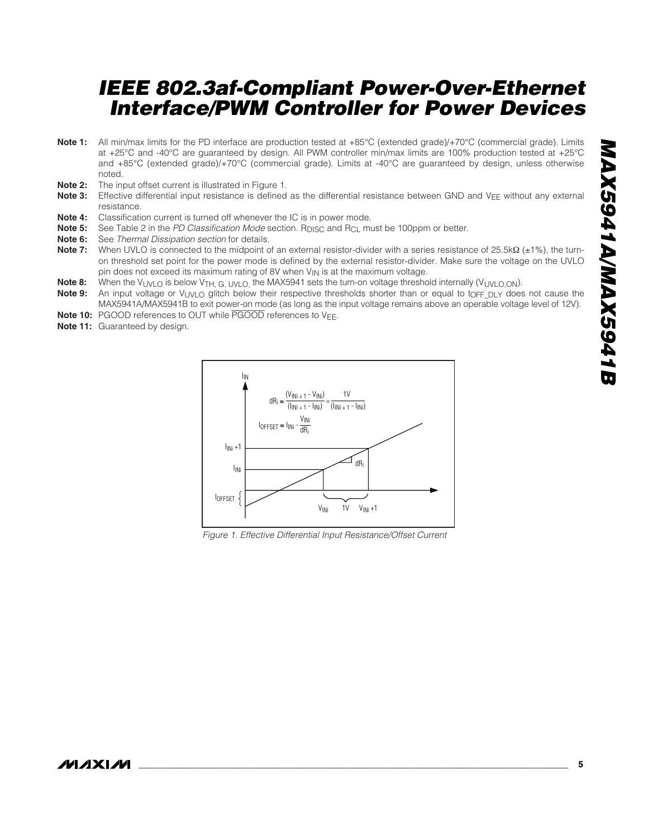- **Note 1:** All min/max limits for the PD interface are production tested at +85°C (extended grade)/+70°C (commercial grade). Limits at +25°C and -40°C are guaranteed by design. All PWM controller min/max limits are 100% production tested at +25°C and +85°C (extended grade)/+70°C (commercial grade). Limits at -40°C are guaranteed by design, unless otherwise noted.
- **Note 2:** The input offset current is illustrated in Figure 1.
- **Note 3:** Effective differential input resistance is defined as the differential resistance between GND and V<sub>EE</sub> without any external resistance.
- **Note 4:** Classification current is turned off whenever the IC is in power mode.
- **Note 5:** See Table 2 in the *PD Classification Mode* section. R<sub>DISC</sub> and R<sub>CL</sub> must be 100ppm or better.
- **Note 6:** See *Thermal Dissipation section* for details.
- Note 7: When UVLO is connected to the midpoint of an external resistor-divider with a series resistance of 25.5kΩ (±1%), the turnon threshold set point for the power mode is defined by the external resistor-divider. Make sure the voltage on the UVLO pin does not exceed its maximum rating of 8V when  $V_{IN}$  is at the maximum voltage.
- **Note 8:** When the V<sub>UVLO</sub> is below V<sub>TH, G</sub>, <sub>UVLO</sub>, the MAX5941 sets the turn-on voltage threshold internally (V<sub>UVLO,ON</sub>).<br>**Note 9:** An input voltage or Vuvuo glitch below their respective thresholds shorter than or equ
- An input voltage or V<sub>UVLO</sub> glitch below their respective thresholds shorter than or equal to t<sub>OFF DLY</sub> does not cause the MAX5941A/MAX5941B to exit power-on mode (as long as the input voltage remains above an operable voltage level of 12V).
- **Note 10:** PGOOD references to OUT while PGOOD references to V<sub>EE</sub>.
- **Note 11:** Guaranteed by design.



*Figure 1. Effective Differential Input Resistance/Offset Current*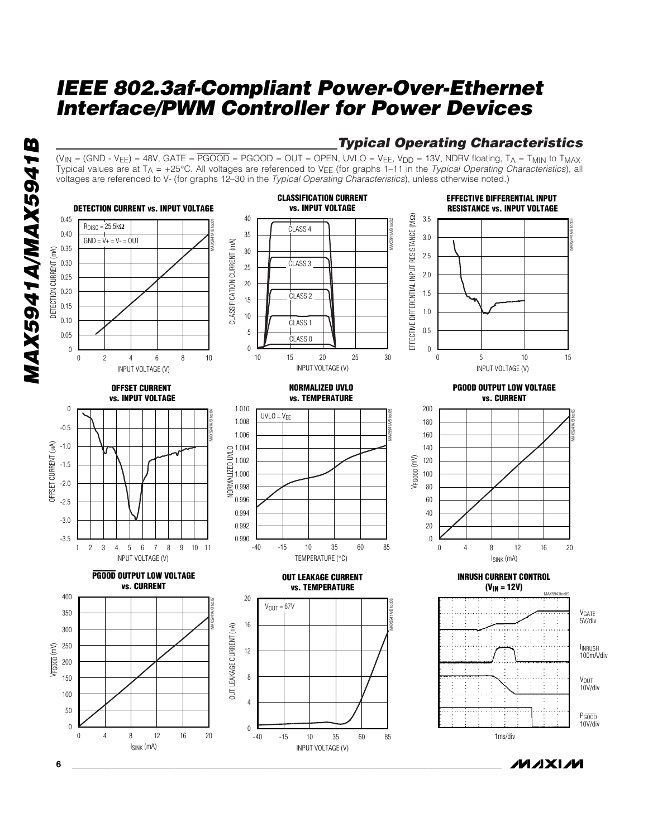voltages are referenced to V- (for graphs 12–30 in the *Typical Operating Characteristics*), unless otherwise noted.)

 $(V_{\text{IN}} = (\text{GND - V}_{\text{FE}}) = 48V$ , GATE =  $\overline{\text{PGOOD}}$  =  $\text{PGOOD}$  =  $\text{OUT}$  = OPEN, UVLO =  $V_{\text{FE}}$ ,  $V_{\text{DD}}$  = 13V, NDRV floating, TA = T<sub>MIN</sub> to T<sub>MAX</sub>. Typical values are at TA = +25°C. All voltages are referenced to VEE (for graphs 1–11 in the *Typical Operating Characteristics*), all





*Typical Operating Characteristics*

*IVI AXI IVI* 

**6 \_\_\_\_\_\_\_\_\_\_\_\_\_\_\_\_\_\_\_\_\_\_\_\_\_\_\_\_\_\_\_\_\_\_\_\_\_\_\_\_\_\_\_\_\_\_\_\_\_\_\_\_\_\_\_\_\_\_\_\_\_\_\_\_\_\_\_\_\_\_\_\_\_\_\_\_\_\_\_\_\_\_\_\_\_\_\_**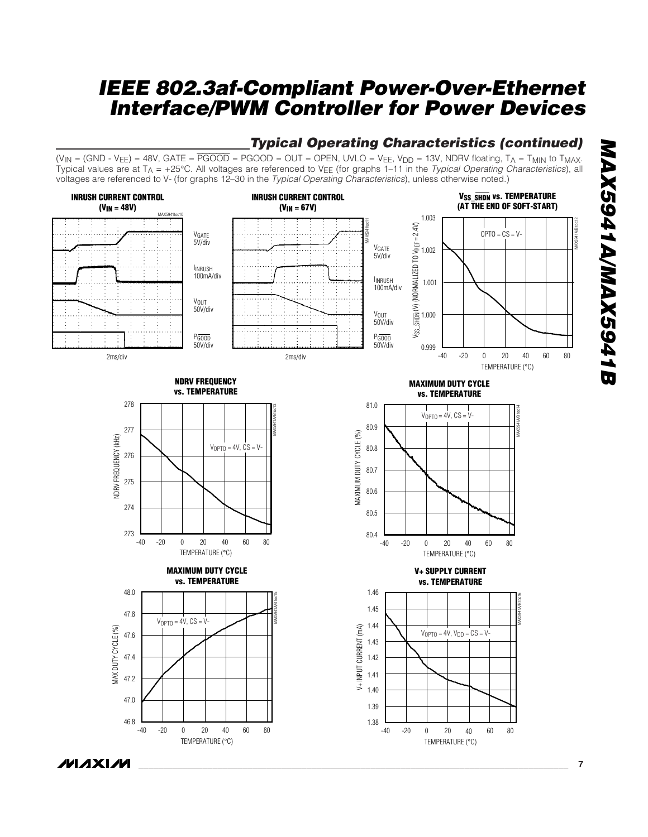

2ms/div

## *Typical Operating Characteristics (continued)*

5V/div

INRUSH

**V**<sub>OUT</sub> 50V/div PGOOD 50V/div

MAX5941A/B toc12 TO  $V_{REF} = 2.4V$ VSS\_SHDN (V) (NORMALIZED TO VREF = 2.4V) 1.002 (NORMALIZED 1.001 100mA/div  $\frac{1}{\sinh(N)}$ 1.000 /ss 0.999

-40 0 -20 20 40 60 80

TEMPERATURE (°C)





INRUSH 100mA/div

VOUT 50V/div

PGOOD 50V/div







**MAXIMUM DUTY CYCLE vs. TEMPERATURE**



#### **V+ SUPPLY CURRENT vs. TEMPERATURE**



*\_\_\_\_\_\_\_\_\_\_\_\_\_\_\_\_\_\_\_\_\_\_\_\_\_\_\_\_\_\_\_\_\_\_\_\_\_\_\_\_\_\_\_\_\_\_\_\_\_\_\_\_\_\_\_\_\_\_\_\_\_\_\_\_\_\_\_\_\_\_\_\_\_\_\_\_\_\_\_\_\_\_\_\_\_\_\_* **7**

/VI*/*IXI*/*VI

*MAX5941A/MAX5941B*

MAX5941A/MAX5941B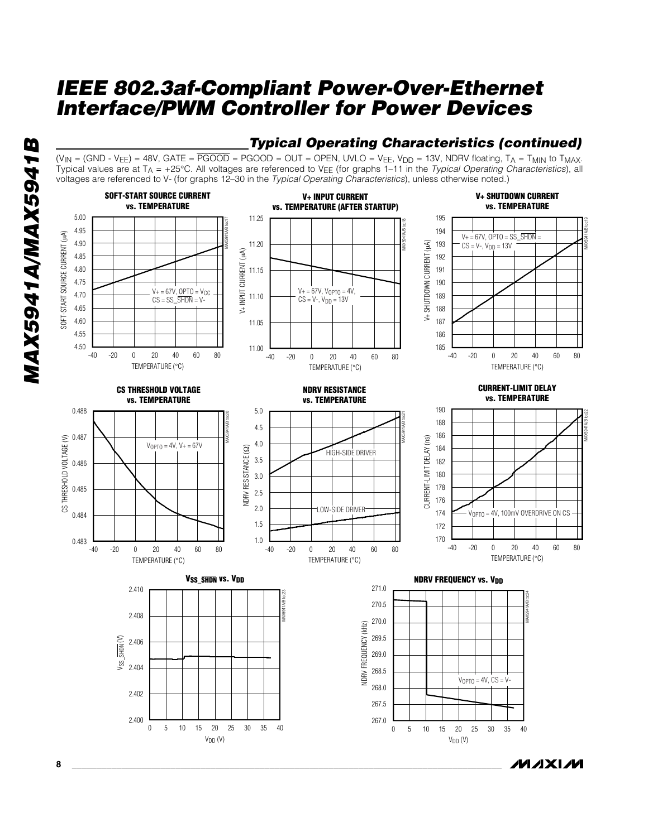*Typical Operating Characteristics (continued)*



**8 \_\_\_\_\_\_\_\_\_\_\_\_\_\_\_\_\_\_\_\_\_\_\_\_\_\_\_\_\_\_\_\_\_\_\_\_\_\_\_\_\_\_\_\_\_\_\_\_\_\_\_\_\_\_\_\_\_\_\_\_\_\_\_\_\_\_\_\_\_\_\_\_\_\_\_\_\_\_\_\_\_\_\_\_\_\_\_**

*IVI AXI IVI*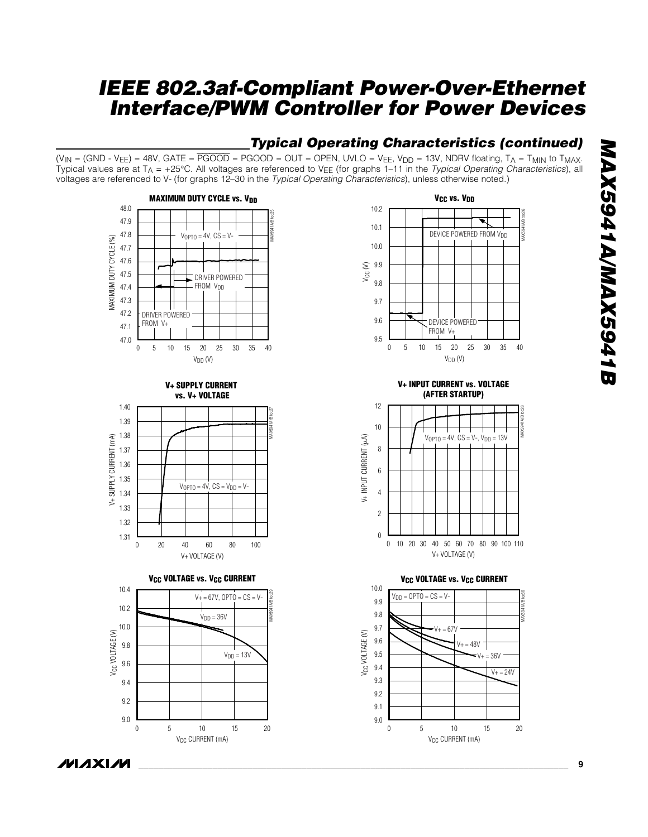#### *Typical Operating Characteristics (continued)*  $(V_{\text{IN}} = (\text{GND - V_{FE}}) = 48V$ , GATE =  $\overline{\text{PGOOD}}$  =  $\text{PGOOD}$  =  $\text{OUT}$  = OPEN, UVLO =  $V_{\text{FE}}$ ,  $V_{\text{DD}}$  = 13V, NDRV floating, TA = T<sub>MIN</sub> to T<sub>MAX</sub>. Typical values are at TA = +25°C. All voltages are referenced to VEE (for graphs 1–11 in the *Typical Operating Characteristics*), all voltages are referenced to V- (for graphs 12–30 in the *Typical Operating Characteristics*), unless otherwise noted.)



0 10 15 5 20 25 30 35 40 **V<sub>CC</sub>** vs. V<sub>DD</sub> MAX5941A/B toc26  $V_{DD} (V)$ DEVICE POWERED FROM V<sub>DD</sub> DEVICE POWERED FROM V+

**V+ INPUT CURRENT vs. VOLTAGE (AFTER STARTUP)**



**V<sub>CC</sub> VOLTAGE vs. V<sub>CC</sub> CURRENT** 

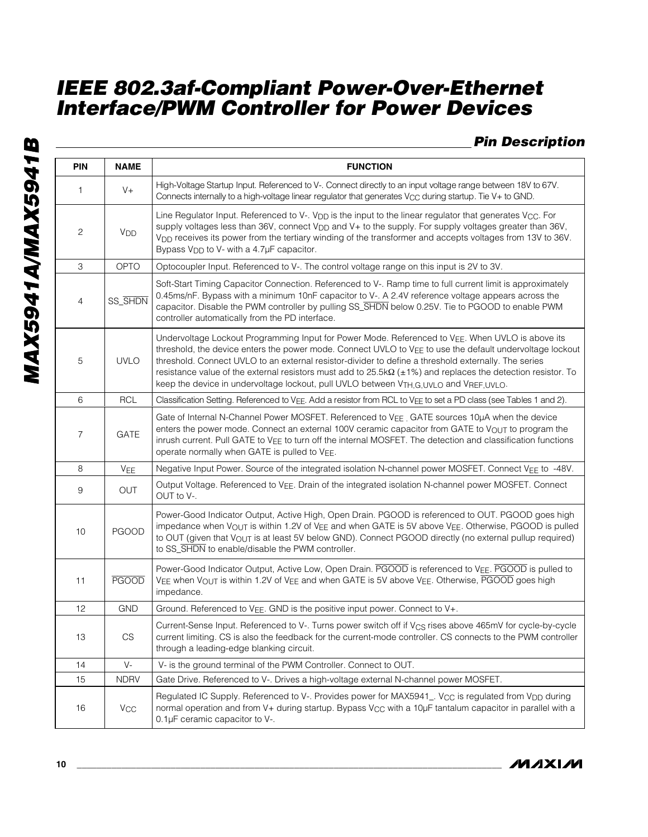## *Pin Description*

| <b>PIN</b>     | <b>NAME</b>           | <b>FUNCTION</b>                                                                                                                                                                                                                                                                                                                                                                                                                                                                                                                                                |
|----------------|-----------------------|----------------------------------------------------------------------------------------------------------------------------------------------------------------------------------------------------------------------------------------------------------------------------------------------------------------------------------------------------------------------------------------------------------------------------------------------------------------------------------------------------------------------------------------------------------------|
| 1              | $V +$                 | High-Voltage Startup Input. Referenced to V-. Connect directly to an input voltage range between 18V to 67V.<br>Connects internally to a high-voltage linear regulator that generates V <sub>CC</sub> during startup. Tie V+ to GND.                                                                                                                                                                                                                                                                                                                           |
| $\mathbf{2}$   | V <sub>DD</sub>       | Line Regulator Input. Referenced to V-. V <sub>DD</sub> is the input to the linear regulator that generates V <sub>CC</sub> . For<br>supply voltages less than 36V, connect V <sub>DD</sub> and V+ to the supply. For supply voltages greater than 36V,<br>V <sub>DD</sub> receives its power from the tertiary winding of the transformer and accepts voltages from 13V to 36V.<br>Bypass V <sub>DD</sub> to V- with a 4.7µF capacitor.                                                                                                                       |
| 3              | OPTO                  | Optocoupler Input. Referenced to V-. The control voltage range on this input is 2V to 3V.                                                                                                                                                                                                                                                                                                                                                                                                                                                                      |
| 4              | SS_SHDN               | Soft-Start Timing Capacitor Connection. Referenced to V-. Ramp time to full current limit is approximately<br>0.45ms/nF. Bypass with a minimum 10nF capacitor to V-. A 2.4V reference voltage appears across the<br>capacitor. Disable the PWM controller by pulling SS_SHDN below 0.25V. Tie to PGOOD to enable PWM<br>controller automatically from the PD interface.                                                                                                                                                                                        |
| 5              | <b>UVLO</b>           | Undervoltage Lockout Programming Input for Power Mode. Referenced to VEE. When UVLO is above its<br>threshold, the device enters the power mode. Connect UVLO to VEE to use the default undervoltage lockout<br>threshold. Connect UVLO to an external resistor-divider to define a threshold externally. The series<br>resistance value of the external resistors must add to $25.5 \text{k}\Omega$ ( $\pm 1\%$ ) and replaces the detection resistor. To<br>keep the device in undervoltage lockout, pull UVLO between V <sub>TH.G.UVLO</sub> and VREF.UVLO. |
| 6              | <b>RCL</b>            | Classification Setting. Referenced to VEE. Add a resistor from RCL to VEE to set a PD class (see Tables 1 and 2).                                                                                                                                                                                                                                                                                                                                                                                                                                              |
| $\overline{7}$ | GATE                  | Gate of Internal N-Channel Power MOSFET. Referenced to VEE GATE sources 10µA when the device<br>enters the power mode. Connect an external 100V ceramic capacitor from GATE to V <sub>OUT</sub> to program the<br>inrush current. Pull GATE to VEE to turn off the internal MOSFET. The detection and classification functions<br>operate normally when GATE is pulled to VEE.                                                                                                                                                                                 |
| 8              | VEE                   | Negative Input Power. Source of the integrated isolation N-channel power MOSFET. Connect VEE to -48V.                                                                                                                                                                                                                                                                                                                                                                                                                                                          |
| 9              | OUT                   | Output Voltage. Referenced to VEE. Drain of the integrated isolation N-channel power MOSFET. Connect<br>OUT to V-.                                                                                                                                                                                                                                                                                                                                                                                                                                             |
| 10             | <b>PGOOD</b>          | Power-Good Indicator Output, Active High, Open Drain. PGOOD is referenced to OUT. PGOOD goes high<br>impedance when V <sub>OUT</sub> is within 1.2V of V <sub>EE</sub> and when GATE is 5V above V <sub>EE</sub> . Otherwise, PGOOD is pulled<br>to OUT (given that VOUT is at least 5V below GND). Connect PGOOD directly (no external pullup required)<br>to SS_SHDN to enable/disable the PWM controller.                                                                                                                                                   |
| 11             | <b>PGOOD</b>          | Power-Good Indicator Output, Active Low, Open Drain. PGOOD is referenced to VEE. PGOOD is pulled to<br>VEE when VOUT is within 1.2V of VEE and when GATE is 5V above VEE. Otherwise, PGOOD goes high<br>impedance.                                                                                                                                                                                                                                                                                                                                             |
| 12             | GND                   | Ground. Referenced to VEE. GND is the positive input power. Connect to V+.                                                                                                                                                                                                                                                                                                                                                                                                                                                                                     |
| 13             | CS                    | Current-Sense Input. Referenced to V-. Turns power switch off if V <sub>CS</sub> rises above 465mV for cycle-by-cycle<br>current limiting. CS is also the feedback for the current-mode controller. CS connects to the PWM controller<br>through a leading-edge blanking circuit.                                                                                                                                                                                                                                                                              |
| 14             | $V -$                 | V- is the ground terminal of the PWM Controller. Connect to OUT.                                                                                                                                                                                                                                                                                                                                                                                                                                                                                               |
| 15             | <b>NDRV</b>           | Gate Drive. Referenced to V-. Drives a high-voltage external N-channel power MOSFET.                                                                                                                                                                                                                                                                                                                                                                                                                                                                           |
| 16             | <b>V<sub>CC</sub></b> | Regulated IC Supply. Referenced to V-. Provides power for MAX5941_. V <sub>CC</sub> is regulated from V <sub>DD</sub> during<br>normal operation and from V+ during startup. Bypass V <sub>CC</sub> with a 10µF tantalum capacitor in parallel with a<br>0.1µF ceramic capacitor to V-.                                                                                                                                                                                                                                                                        |

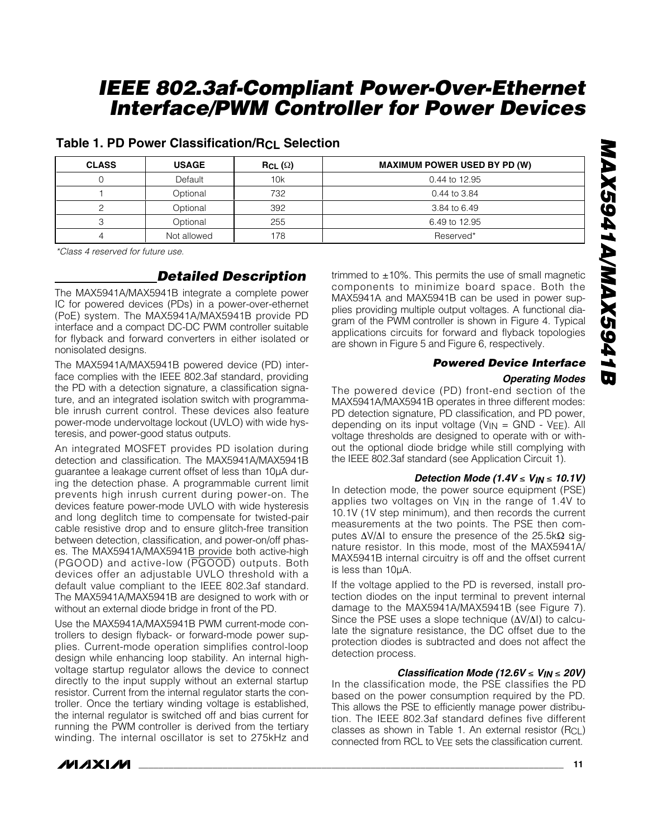| <b>CLASS</b> | <b>USAGE</b> | $RCL (\Omega)$ | <b>MAXIMUM POWER USED BY PD (W)</b> |
|--------------|--------------|----------------|-------------------------------------|
| U            | Default      | 10k            | 0.44 to 12.95                       |
|              | Optional     | 732            | 0.44 to 3.84                        |
|              | Optional     | 392            | 3.84 to 6.49                        |
|              | Optional     | 255            | 6.49 to 12.95                       |
|              | Not allowed  | 178            | Reserved*                           |

#### **Table 1. PD Power Classification/RCL Selection**

*\*Class 4 reserved for future use.*

## *Detailed Description*

The MAX5941A/MAX5941B integrate a complete power IC for powered devices (PDs) in a power-over-ethernet (PoE) system. The MAX5941A/MAX5941B provide PD interface and a compact DC-DC PWM controller suitable for flyback and forward converters in either isolated or nonisolated designs.

The MAX5941A/MAX5941B powered device (PD) interface complies with the IEEE 802.3af standard, providing the PD with a detection signature, a classification signature, and an integrated isolation switch with programmable inrush current control. These devices also feature power-mode undervoltage lockout (UVLO) with wide hysteresis, and power-good status outputs.

An integrated MOSFET provides PD isolation during detection and classification. The MAX5941A/MAX5941B guarantee a leakage current offset of less than 10µA during the detection phase. A programmable current limit prevents high inrush current during power-on. The devices feature power-mode UVLO with wide hysteresis and long deglitch time to compensate for twisted-pair cable resistive drop and to ensure glitch-free transition between detection, classification, and power-on/off phases. The MAX5941A/MAX5941B provide both active-high (PGOOD) and active-low (PGOOD) outputs. Both devices offer an adjustable UVLO threshold with a default value compliant to the IEEE 802.3af standard. The MAX5941A/MAX5941B are designed to work with or without an external diode bridge in front of the PD.

Use the MAX5941A/MAX5941B PWM current-mode controllers to design flyback- or forward-mode power supplies. Current-mode operation simplifies control-loop design while enhancing loop stability. An internal highvoltage startup regulator allows the device to connect directly to the input supply without an external startup resistor. Current from the internal regulator starts the controller. Once the tertiary winding voltage is established, the internal regulator is switched off and bias current for running the PWM controller is derived from the tertiary winding. The internal oscillator is set to 275kHz and

trimmed to  $\pm$ 10%. This permits the use of small magnetic components to minimize board space. Both the MAX5941A and MAX5941B can be used in power supplies providing multiple output voltages. A functional diagram of the PWM controller is shown in Figure 4. Typical applications circuits for forward and flyback topologies are shown in Figure 5 and Figure 6, respectively.

#### *Powered Device Interface*

#### *Operating Modes*

The powered device (PD) front-end section of the MAX5941A/MAX5941B operates in three different modes: PD detection signature, PD classification, and PD power, depending on its input voltage  $(V_{IN} = GND - V_{EE})$ . All voltage thresholds are designed to operate with or without the optional diode bridge while still complying with the IEEE 802.3af standard (see Application Circuit 1).

#### *Detection Mode (1.4V* ≤ *VIN* ≤ *10.1V)*

In detection mode, the power source equipment (PSE) applies two voltages on VIN in the range of 1.4V to 10.1V (1V step minimum), and then records the current measurements at the two points. The PSE then computes ∆V/∆I to ensure the presence of the 25.5kΩ signature resistor. In this mode, most of the MAX5941A/ MAX5941B internal circuitry is off and the offset current is less than 10µA.

If the voltage applied to the PD is reversed, install protection diodes on the input terminal to prevent internal damage to the MAX5941A/MAX5941B (see Figure 7). Since the PSE uses a slope technique (∆V/∆I) to calculate the signature resistance, the DC offset due to the protection diodes is subtracted and does not affect the detection process.

#### *Classification Mode (12.6V* ≤ *VIN* ≤ *20V)*

In the classification mode, the PSE classifies the PD based on the power consumption required by the PD. This allows the PSE to efficiently manage power distribution. The IEEE 802.3af standard defines five different classes as shown in Table 1. An external resistor  $(RCL)$ connected from RCL to VEE sets the classification current.

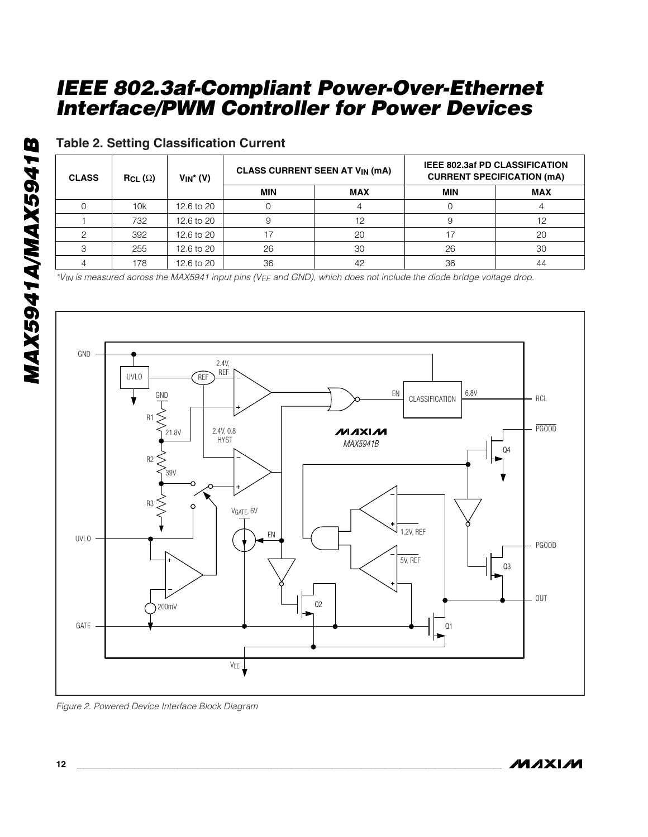| <b>CLASS</b> | $RCL(\Omega)$ | $V_{IN}^*(V)$ | CLASS CURRENT SEEN AT V <sub>IN</sub> (mA) |            | IEEE 802.3af PD CLASSIFICATION<br><b>CURRENT SPECIFICATION (mA)</b> |            |
|--------------|---------------|---------------|--------------------------------------------|------------|---------------------------------------------------------------------|------------|
|              |               |               | <b>MIN</b>                                 | <b>MAX</b> | <b>MIN</b>                                                          | <b>MAX</b> |
|              | 10k           | 12.6 to 20    |                                            |            |                                                                     |            |
|              | 732           | 12.6 to 20    |                                            | 12         |                                                                     | 12         |
|              | 392           | 12.6 to 20    |                                            | 20         | 17                                                                  | 20         |
|              | 255           | 12.6 to 20    | 26                                         | 30         | 26                                                                  | 30         |
|              | 178           | 12.6 to 20    | 36                                         | 42         | 36                                                                  | 44         |

## **Table 2. Setting Classification Current**

*\*VIN is measured across the MAX5941 input pins (VEE and GND), which does not include the diode bridge voltage drop.*



*Figure 2. Powered Device Interface Block Diagram*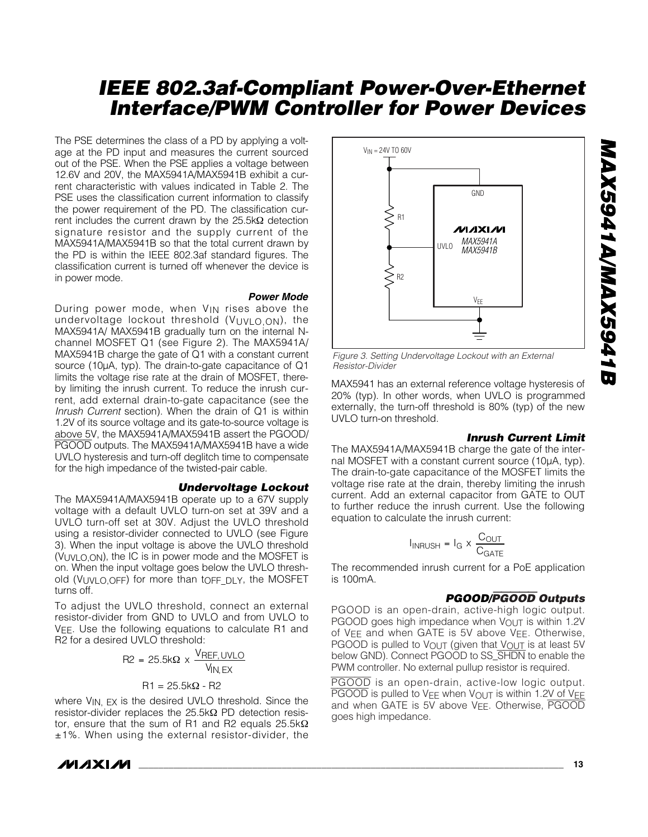The PSE determines the class of a PD by applying a voltage at the PD input and measures the current sourced out of the PSE. When the PSE applies a voltage between 12.6V and 20V, the MAX5941A/MAX5941B exhibit a current characteristic with values indicated in Table 2. The PSE uses the classification current information to classify the power requirement of the PD. The classification current includes the current drawn by the 25.5kΩ detection signature resistor and the supply current of the MAX5941A/MAX5941B so that the total current drawn by the PD is within the IEEE 802.3af standard figures. The classification current is turned off whenever the device is in power mode.

#### *Power Mode*

During power mode, when V<sub>IN</sub> rises above the undervoltage lockout threshold (VUVLO,ON), the MAX5941A/ MAX5941B gradually turn on the internal Nchannel MOSFET Q1 (see Figure 2). The MAX5941A/ MAX5941B charge the gate of Q1 with a constant current source (10µA, typ). The drain-to-gate capacitance of Q1 limits the voltage rise rate at the drain of MOSFET, thereby limiting the inrush current. To reduce the inrush current, add external drain-to-gate capacitance (see the *Inrush Current* section). When the drain of Q1 is within 1.2V of its source voltage and its gate-to-source voltage is above 5V, the MAX5941A/MAX5941B assert the PGOOD/ PGOOD outputs. The MAX5941A/MAX5941B have a wide UVLO hysteresis and turn-off deglitch time to compensate for the high impedance of the twisted-pair cable.

#### *Undervoltage Lockout*

The MAX5941A/MAX5941B operate up to a 67V supply voltage with a default UVLO turn-on set at 39V and a UVLO turn-off set at 30V. Adjust the UVLO threshold using a resistor-divider connected to UVLO (see Figure 3). When the input voltage is above the UVLO threshold (VUVLO,ON), the IC is in power mode and the MOSFET is on. When the input voltage goes below the UVLO threshold (VUVLO, OFF) for more than to FF DLY, the MOSFET turns off.

To adjust the UVLO threshold, connect an external resistor-divider from GND to UVLO and from UVLO to VEE. Use the following equations to calculate R1 and R2 for a desired UVLO threshold:

$$
R2 = 25.5k\Omega \times \frac{V_{REF,UVLO}}{V_{IN,EX}}
$$

$$
R1 = 25.5k\Omega - R2
$$

where V<sub>IN, EX</sub> is the desired UVLO threshold. Since the resistor-divider replaces the 25.5kΩ PD detection resistor, ensure that the sum of R1 and R2 equals 25.5kΩ ±1%. When using the external resistor-divider, the





*Figure 3. Setting Undervoltage Lockout with an External Resistor-Divider*

MAX5941 has an external reference voltage hysteresis of 20% (typ). In other words, when UVLO is programmed externally, the turn-off threshold is 80% (typ) of the new UVLO turn-on threshold.

#### *Inrush Current Limit*

*MAX5941A/MAX5941B*

MAX5941A/MAX5941B

The MAX5941A/MAX5941B charge the gate of the internal MOSFET with a constant current source (10µA, typ). The drain-to-gate capacitance of the MOSFET limits the voltage rise rate at the drain, thereby limiting the inrush current. Add an external capacitor from GATE to OUT to further reduce the inrush current. Use the following equation to calculate the inrush current:

$$
I_{\text{INRUSH}} = I_{\text{G}} \times \frac{C_{\text{OUT}}}{C_{\text{GATE}}}
$$

The recommended inrush current for a PoE application is 100mA.

#### *PGOOD/*PGOOD *Outputs*

PGOOD is an open-drain, active-high logic output. PGOOD goes high impedance when V<sub>OUT</sub> is within 1.2V of VEE and when GATE is 5V above VEE. Otherwise, PGOOD is pulled to VOUT (given that VOUT is at least 5V below GND). Connect PGOOD to SS\_SHDN to enable the PWM controller. No external pullup resistor is required.

PGOOD is an open-drain, active-low logic output.  $PGOOD$  is pulled to VEE when VOUT is within 1.2V of VEE and when GATE is 5V above VFF. Otherwise, PGOOD goes high impedance.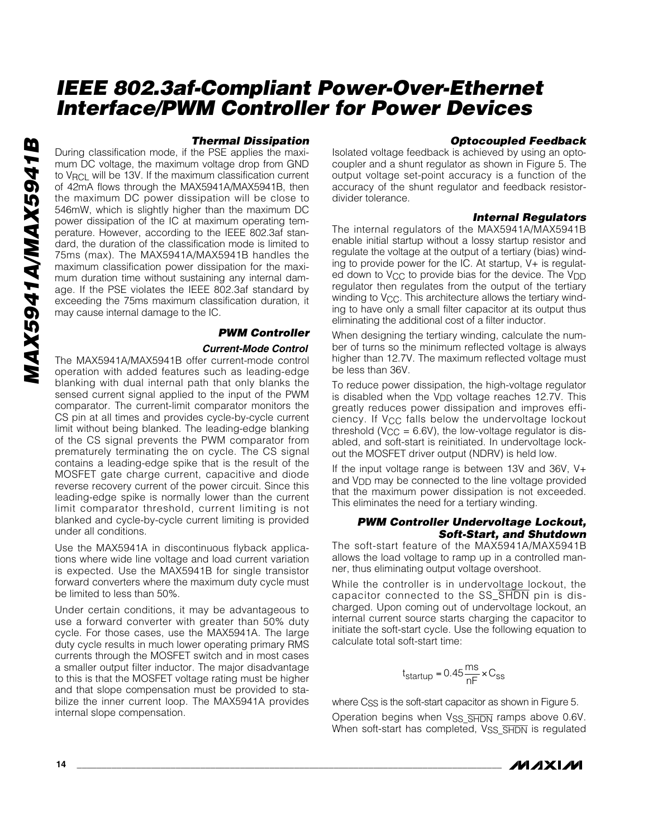## *Thermal Dissipation*

During classification mode, if the PSE applies the maximum DC voltage, the maximum voltage drop from GND to VRCL will be 13V. If the maximum classification current of 42mA flows through the MAX5941A/MAX5941B, then the maximum DC power dissipation will be close to 546mW, which is slightly higher than the maximum DC power dissipation of the IC at maximum operating temperature. However, according to the IEEE 802.3af standard, the duration of the classification mode is limited to 75ms (max). The MAX5941A/MAX5941B handles the maximum classification power dissipation for the maximum duration time without sustaining any internal damage. If the PSE violates the IEEE 802.3af standard by exceeding the 75ms maximum classification duration, it may cause internal damage to the IC.

#### *PWM Controller*

#### *Current-Mode Control*

The MAX5941A/MAX5941B offer current-mode control operation with added features such as leading-edge blanking with dual internal path that only blanks the sensed current signal applied to the input of the PWM comparator. The current-limit comparator monitors the CS pin at all times and provides cycle-by-cycle current limit without being blanked. The leading-edge blanking of the CS signal prevents the PWM comparator from prematurely terminating the on cycle. The CS signal contains a leading-edge spike that is the result of the MOSFET gate charge current, capacitive and diode reverse recovery current of the power circuit. Since this leading-edge spike is normally lower than the current limit comparator threshold, current limiting is not blanked and cycle-by-cycle current limiting is provided under all conditions.

Use the MAX5941A in discontinuous flyback applications where wide line voltage and load current variation is expected. Use the MAX5941B for single transistor forward converters where the maximum duty cycle must be limited to less than 50%.

Under certain conditions, it may be advantageous to use a forward converter with greater than 50% duty cycle. For those cases, use the MAX5941A. The large duty cycle results in much lower operating primary RMS currents through the MOSFET switch and in most cases a smaller output filter inductor. The major disadvantage to this is that the MOSFET voltage rating must be higher and that slope compensation must be provided to stabilize the inner current loop. The MAX5941A provides internal slope compensation.

#### *Optocoupled Feedback*

Isolated voltage feedback is achieved by using an optocoupler and a shunt regulator as shown in Figure 5. The output voltage set-point accuracy is a function of the accuracy of the shunt regulator and feedback resistordivider tolerance.

#### *Internal Regulators*

The internal regulators of the MAX5941A/MAX5941B enable initial startup without a lossy startup resistor and regulate the voltage at the output of a tertiary (bias) winding to provide power for the IC. At startup, V+ is regulated down to  $V_{\text{CC}}$  to provide bias for the device. The  $V_{\text{DD}}$ regulator then regulates from the output of the tertiary winding to  $V_{CC}$ . This architecture allows the tertiary winding to have only a small filter capacitor at its output thus eliminating the additional cost of a filter inductor.

When designing the tertiary winding, calculate the number of turns so the minimum reflected voltage is always higher than 12.7V. The maximum reflected voltage must be less than 36V.

To reduce power dissipation, the high-voltage regulator is disabled when the V<sub>DD</sub> voltage reaches 12.7V. This greatly reduces power dissipation and improves efficiency. If VCC falls below the undervoltage lockout threshold (V<sub>CC</sub> = 6.6V), the low-voltage regulator is disabled, and soft-start is reinitiated. In undervoltage lockout the MOSFET driver output (NDRV) is held low.

If the input voltage range is between 13V and 36V, V+ and V<sub>DD</sub> may be connected to the line voltage provided that the maximum power dissipation is not exceeded. This eliminates the need for a tertiary winding.

#### *PWM Controller Undervoltage Lockout, Soft-Start, and Shutdown*

The soft-start feature of the MAX5941A/MAX5941B allows the load voltage to ramp up in a controlled manner, thus eliminating output voltage overshoot.

While the controller is in undervoltage lockout, the capacitor connected to the SS\_SHDN pin is discharged. Upon coming out of undervoltage lockout, an internal current source starts charging the capacitor to initiate the soft-start cycle. Use the following equation to calculate total soft-start time:

$$
t_{\text{startup}} = 0.45 \frac{\text{ms}}{\text{nF}} \times C_{\text{ss}}
$$

where C<sub>SS</sub> is the soft-start capacitor as shown in Figure 5.

Operation begins when VSS SHDN ramps above 0.6V. When soft-start has completed, VSS SHDN is regulated

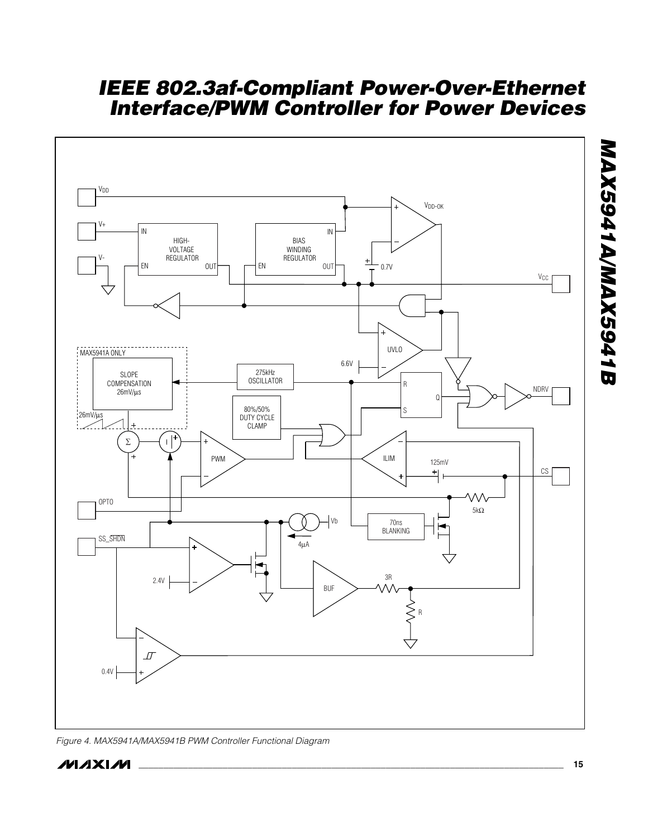

*Figure 4. MAX5941A/MAX5941B PWM Controller Functional Diagram*



*MAX5941A/MAX5941B*

**MAX5941A/MAX5941B**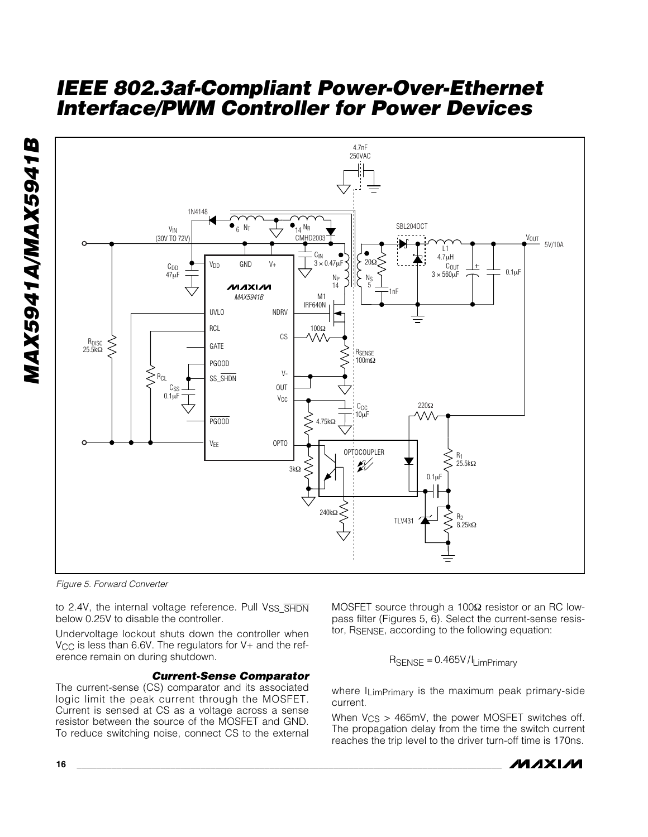

*Figure 5. Forward Converter*

to 2.4V, the internal voltage reference. Pull VSS SHDN below 0.25V to disable the controller.

Undervoltage lockout shuts down the controller when V<sub>CC</sub> is less than 6.6V. The regulators for V+ and the reference remain on during shutdown.

#### *Current-Sense Comparator*

The current-sense (CS) comparator and its associated logic limit the peak current through the MOSFET. Current is sensed at CS as a voltage across a sense resistor between the source of the MOSFET and GND. To reduce switching noise, connect CS to the external MOSFET source through a 100Ω resistor or an RC lowpass filter (Figures 5, 6). Select the current-sense resistor, RSENSE, according to the following equation:

$$
R_{\text{SENSE}} = 0.465 \text{V/L}_{\text{L} \text{imPrimary}}
$$

where I<sub>LimPrimary</sub> is the maximum peak primary-side current.

When V<sub>CS</sub> > 465mV, the power MOSFET switches off. The propagation delay from the time the switch current reaches the trip level to the driver turn-off time is 170ns.

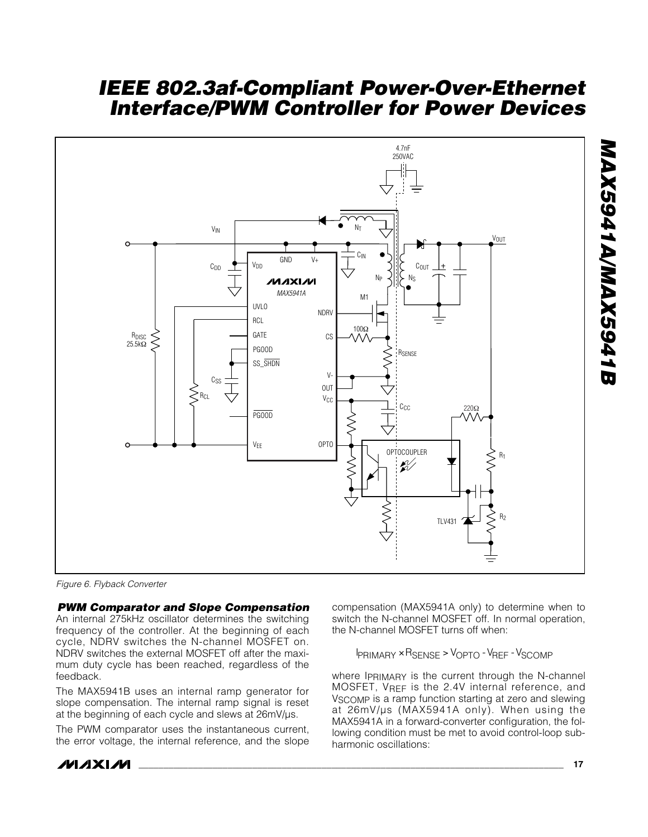

*Figure 6. Flyback Converter*

*PWM Comparator and Slope Compensation* An internal 275kHz oscillator determines the switching frequency of the controller. At the beginning of each cycle, NDRV switches the N-channel MOSFET on. NDRV switches the external MOSFET off after the maximum duty cycle has been reached, regardless of the feedback.

The MAX5941B uses an internal ramp generator for slope compensation. The internal ramp signal is reset at the beginning of each cycle and slews at 26mV/µs.

The PWM comparator uses the instantaneous current, the error voltage, the internal reference, and the slope compensation (MAX5941A only) to determine when to switch the N-channel MOSFET off. In normal operation, the N-channel MOSFET turns off when:

 $I_{\rm PRIMARY}$  ×  $R_{\rm SENSE}$  >  $V_{\rm OPTO}$  -  $V_{\rm REF}$  -  $V_{\rm SCOMP}$ 

where IPRIMARY is the current through the N-channel MOSFET, VREF is the 2.4V internal reference, and V<sub>SCOMP</sub> is a ramp function starting at zero and slewing at 26mV/µs (MAX5941A only). When using the MAX5941A in a forward-converter configuration, the following condition must be met to avoid control-loop subharmonic oscillations: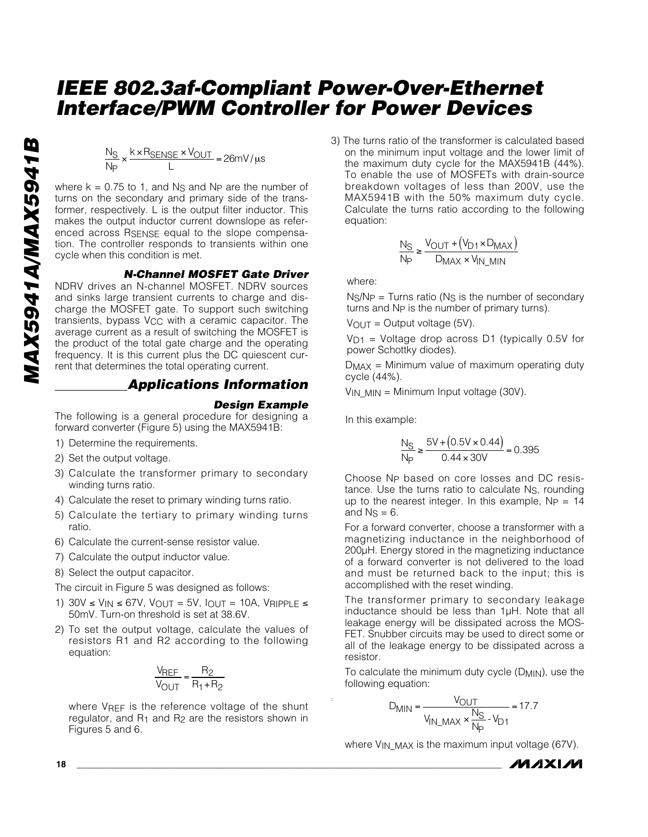# MAX5941A/MAX5941B *MAX5941A/MAX5941B*

# *IEEE 802.3af-Compliant Power-Over-Ethernet Interface/PWM Controller for Power Devices*

N N <u>s</u> , k×R<sub>SENSE</sub> × V S x <sup>k x R</sup>SENSE <sup>x V</sup>OUT = 26mV/μs<br>P

where  $k = 0.75$  to 1, and  $N<sub>S</sub>$  and  $N<sub>P</sub>$  are the number of turns on the secondary and primary side of the transformer, respectively. L is the output filter inductor. This makes the output inductor current downslope as referenced across RSENSE equal to the slope compensation. The controller responds to transients within one cycle when this condition is met.

#### *N-Channel MOSFET Gate Driver*

NDRV drives an N-channel MOSFET. NDRV sources and sinks large transient currents to charge and discharge the MOSFET gate. To support such switching transients, bypass  $V_{CC}$  with a ceramic capacitor. The average current as a result of switching the MOSFET is the product of the total gate charge and the operating frequency. It is this current plus the DC quiescent current that determines the total operating current.

## *Applications Information*

#### *Design Example*

The following is a general procedure for designing a forward converter (Figure 5) using the MAX5941B:

- 1) Determine the requirements.
- 2) Set the output voltage.
- 3) Calculate the transformer primary to secondary winding turns ratio.
- 4) Calculate the reset to primary winding turns ratio.
- 5) Calculate the tertiary to primary winding turns ratio.
- 6) Calculate the current-sense resistor value.
- 7) Calculate the output inductor value.
- 8) Select the output capacitor.

The circuit in Figure 5 was designed as follows:

- 1)  $30V \le V_{IN} \le 67V$ ,  $V_{OUT} = 5V$ ,  $I_{OUT} = 10A$ ,  $V_{RIPPLE} \le V_{IN}$ 50mV. Turn-on threshold is set at 38.6V.
- 2) To set the output voltage, calculate the values of resistors R1 and R2 according to the following equation:

$$
\frac{V_{REF}}{V_{OUT}} = \frac{R_2}{R_1 + R_2}
$$

where VREF is the reference voltage of the shunt regulator, and  $R_1$  and  $R_2$  are the resistors shown in Figures 5 and 6.

3) The turns ratio of the transformer is calculated based on the minimum input voltage and the lower limit of the maximum duty cycle for the MAX5941B (44%). To enable the use of MOSFETs with drain-source breakdown voltages of less than 200V, use the MAX5941B with the 50% maximum duty cycle. Calculate the turns ratio according to the following equation:

$$
\frac{N_S}{N_P} \geq \frac{V_{OUT} + (V_{D1} \times D_{MAX})}{D_{MAX} \times V_{IN\_MIN}}
$$

where:

 $Ns/NP =$  Turns ratio ( $Ns$  is the number of secondary turns and N<sub>P</sub> is the number of primary turns).

 $V$ OUT = Output voltage (5V).

 $V_{D1}$  = Voltage drop across D1 (typically 0.5V for power Schottky diodes).

 $D_{MAX}$  = Minimum value of maximum operating duty cycle (44%).

 $V_{IN}$  MIN = Minimum Input voltage (30V).

In this example:

 $\mathbb{R}^{\mathbb{Z}}$ 

$$
\frac{N_S}{N_P} \ge \frac{5V + (0.5V \times 0.44)}{0.44 \times 30V} = 0.395
$$

Choose NP based on core losses and DC resistance. Use the turns ratio to calculate N<sub>S</sub>, rounding up to the nearest integer. In this example,  $N_P = 14$ and  $Ns = 6$ .

For a forward converter, choose a transformer with a magnetizing inductance in the neighborhood of 200µH. Energy stored in the magnetizing inductance of a forward converter is not delivered to the load and must be returned back to the input; this is accomplished with the reset winding.

The transformer primary to secondary leakage inductance should be less than 1µH. Note that all leakage energy will be dissipated across the MOS-FET. Snubber circuits may be used to direct some or all of the leakage energy to be dissipated across a resistor.

To calculate the minimum duty cycle (DMIN), use the following equation:

$$
D_{MIN} = \frac{V_{OUT}}{V_{IN\_MAX} \times \frac{N_S}{N_P} - V_{D1}} = 17.7
$$

where V<sub>IN\_MAX</sub> is the maximum input voltage (67V).

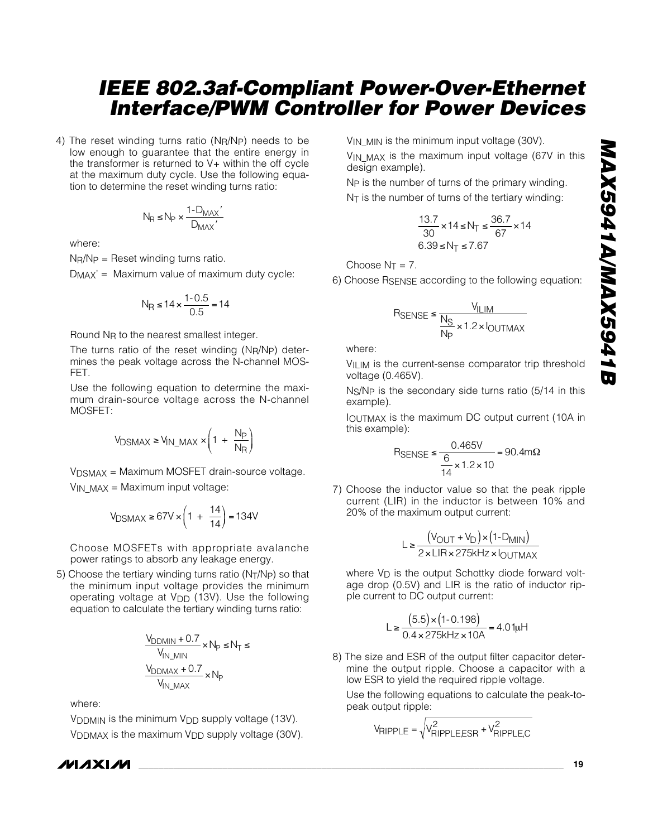4) The reset winding turns ratio (NR/NP) needs to be low enough to guarantee that the entire energy in the transformer is returned to  $V<sub>+</sub>$  within the off cycle at the maximum duty cycle. Use the following equation to determine the reset winding turns ratio:

$$
N_R \leq N_P \times \frac{1 - D_{MAX}}{D_{MAX}}
$$

where:

 $N_R/N_P$  = Reset winding turns ratio.

DMAX' = Maximum value of maximum duty cycle:

$$
N_{\text{R}} \le 14 \times \frac{1 \cdot 0.5}{0.5} = 14
$$

Round NR to the nearest smallest integer.

The turns ratio of the reset winding (NR/NP) determines the peak voltage across the N-channel MOS-FET.

Use the following equation to determine the maximum drain-source voltage across the N-channel MOSFET:

$$
V_{DSMAX} \ge V_{IN\_MAX} \times \left(1 + \frac{N_P}{N_R}\right)
$$

VDSMAX = Maximum MOSFET drain-source voltage.  $V_{IN}$  MAX = Maximum input voltage:

$$
V_{DSMAX} \ge 67V \times \left(1 + \frac{14}{14}\right) = 134V
$$

Choose MOSFETs with appropriate avalanche power ratings to absorb any leakage energy.

5) Choose the tertiary winding turns ratio  $(N_T/N_P)$  so that the minimum input voltage provides the minimum operating voltage at V<sub>DD</sub> (13V). Use the following equation to calculate the tertiary winding turns ratio:

$$
\frac{V_{DDMIN} + 0.7}{V_{IN\_MIN}} \times N_P \le N_T \le
$$
  

$$
\frac{V_{DDMAX} + 0.7}{V_{IN\_MAX}} \times N_P
$$

where:

V<sub>DDMIN</sub> is the minimum V<sub>DD</sub> supply voltage (13V). V<sub>DDMAX</sub> is the maximum  $V_{DD}$  supply voltage (30V).

*IVI AXI AVI* 

V<sub>IN</sub> M<sub>IN</sub> is the minimum input voltage (30V). V<sub>IN</sub> MAX is the maximum input voltage (67V in this design example).

NP is the number of turns of the primary winding.  $N<sub>T</sub>$  is the number of turns of the tertiary winding:

$$
\frac{13.7}{30} \times 14 \le N_T \le \frac{36.7}{67} \times 14
$$
  
6.39  $\le N_T \le 7.67$ 

Choose  $N_T = 7$ .

6) Choose RSENSE according to the following equation:

$$
R_{\text{SENSE}} \le \frac{V_{\text{ILIM}}}{\frac{N_{\text{S}}}{N_{\text{P}}} \times 1.2 \times I_{\text{OUTMAX}}}
$$

where:

VILIM is the current-sense comparator trip threshold voltage (0.465V).

NS/NP is the secondary side turns ratio (5/14 in this example).

IOUTMAX is the maximum DC output current (10A in this example):

$$
R_{\text{SENSE}} \le \frac{0.465 \text{V}}{6} = 90.4 \text{m}\Omega
$$

7) Choose the inductor value so that the peak ripple current (LIR) in the inductor is between 10% and 20% of the maximum output current:

$$
L \geq \frac{\left(V_{\text{OUT}} + V_{\text{D}}\right) \times \left(1 - D_{\text{MIN}}\right)}{2 \times \text{LIR} \times 275 \text{kHz} \times I_{\text{OUTMAX}}}
$$

where V<sub>D</sub> is the output Schottky diode forward voltage drop (0.5V) and LIR is the ratio of inductor ripple current to DC output current:

$$
L \ge \frac{(5.5) \times (1 - 0.198)}{0.4 \times 275 \text{kHz} \times 10A} = 4.01 \mu\text{H}
$$

8) The size and ESR of the output filter capacitor determine the output ripple. Choose a capacitor with a low ESR to yield the required ripple voltage.

Use the following equations to calculate the peak-topeak output ripple:

$$
V_{RIPPLE} = \sqrt{V_{RIPPLE,ESR}^2 + V_{RIPPLE, C}^2}
$$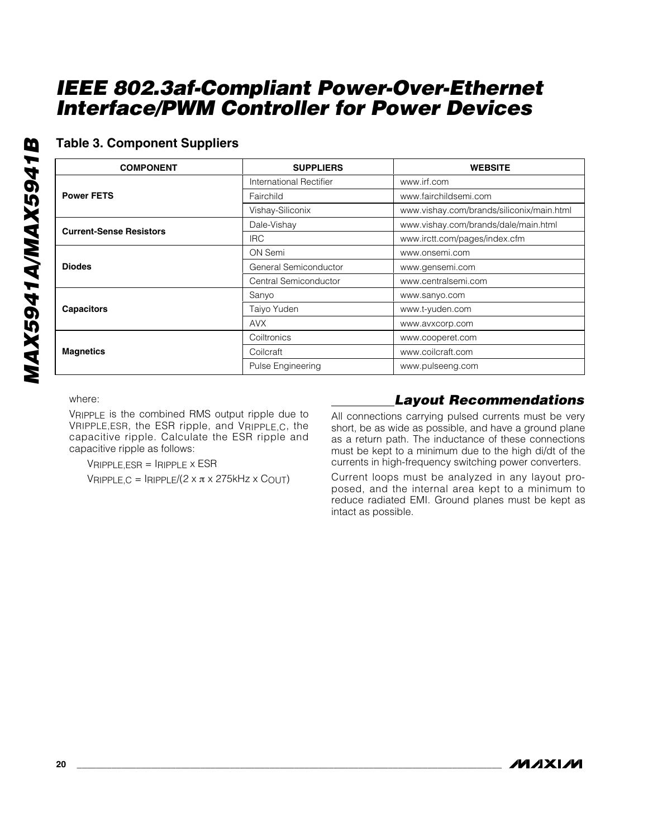## **Table 3. Component Suppliers**

| <b>COMPONENT</b>               | <b>SUPPLIERS</b>        | <b>WEBSITE</b>                            |  |  |
|--------------------------------|-------------------------|-------------------------------------------|--|--|
|                                | International Rectifier | www.irf.com                               |  |  |
| <b>Power FETS</b>              | Fairchild               | www.fairchildsemi.com                     |  |  |
|                                | Vishay-Siliconix        | www.vishay.com/brands/siliconix/main.html |  |  |
| <b>Current-Sense Resistors</b> | Dale-Vishay             | www.vishay.com/brands/dale/main.html      |  |  |
|                                | <b>IRC</b>              | www.irctt.com/pages/index.cfm             |  |  |
|                                | ON Semi                 | www.onsemi.com                            |  |  |
| <b>Diodes</b>                  | General Semiconductor   | www.gensemi.com                           |  |  |
|                                | Central Semiconductor   | www.centralsemi.com                       |  |  |
|                                | Sanyo                   | www.sanyo.com                             |  |  |
| <b>Capacitors</b>              | Taiyo Yuden             | www.t-yuden.com                           |  |  |
|                                | <b>AVX</b>              | www.avxcorp.com                           |  |  |
|                                | Coiltronics             | www.cooperet.com                          |  |  |
| <b>Magnetics</b>               | Coilcraft               | www.coilcraft.com                         |  |  |
|                                | Pulse Engineering       | www.pulseeng.com                          |  |  |

where:

VRIPPLE is the combined RMS output ripple due to VRIPPLE,ESR, the ESR ripple, and VRIPPLE,C, the capacitive ripple. Calculate the ESR ripple and capacitive ripple as follows:

VRIPPLE,ESR = IRIPPLE x ESR

 $V$ RIPPLE,C =  $I$ RIPPLE/(2 x  $\pi$  x 275kHz x C<sub>OUT</sub>)

## *Layout Recommendations*

All connections carrying pulsed currents must be very short, be as wide as possible, and have a ground plane as a return path. The inductance of these connections must be kept to a minimum due to the high di/dt of the currents in high-frequency switching power converters.

Current loops must be analyzed in any layout proposed, and the internal area kept to a minimum to reduce radiated EMI. Ground planes must be kept as intact as possible.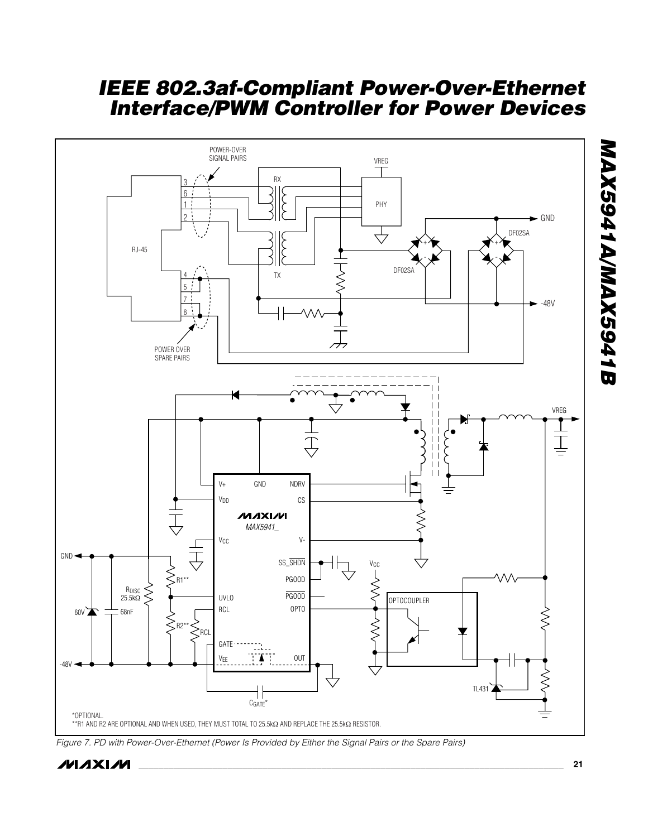

*Figure 7. PD with Power-Over-Ethernet (Power Is Provided by Either the Signal Pairs or the Spare Pairs)*

## **MAXIM**

*MAX5941A/MAX5941B*

**MAX5941A/MAX5941B**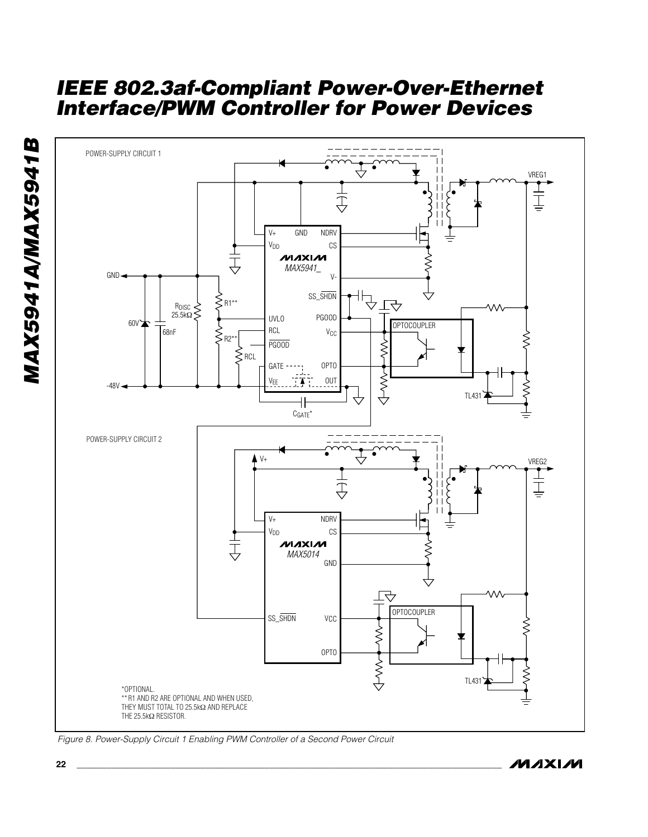

*Figure 8. Power-Supply Circuit 1 Enabling PWM Controller of a Second Power Circuit* 

*MAX5941A/MAX5941B*

**MAX5941A/MAX5941B**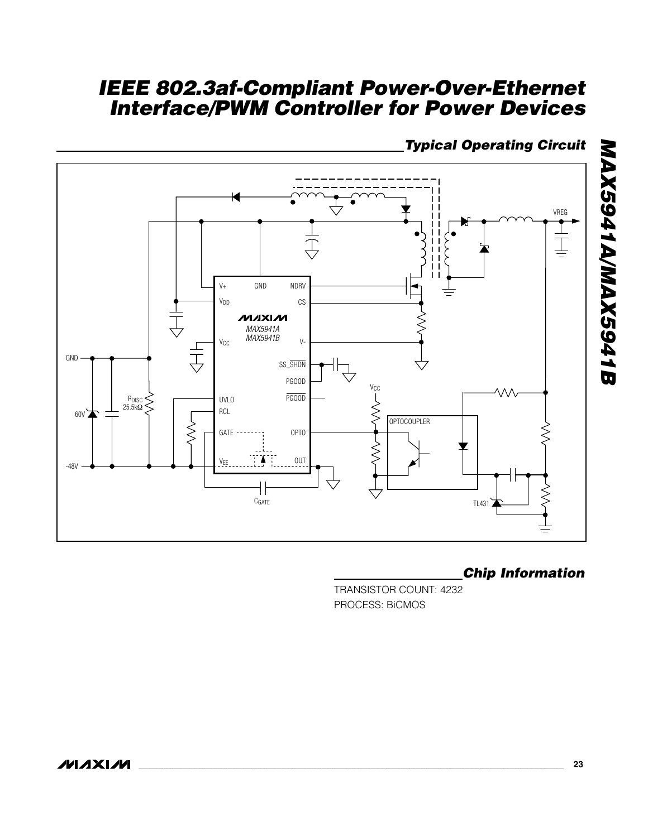## *Typical Operating Circuit*



## *Chip Information*

TRANSISTOR COUNT: 4232 PROCESS: BiCMOS